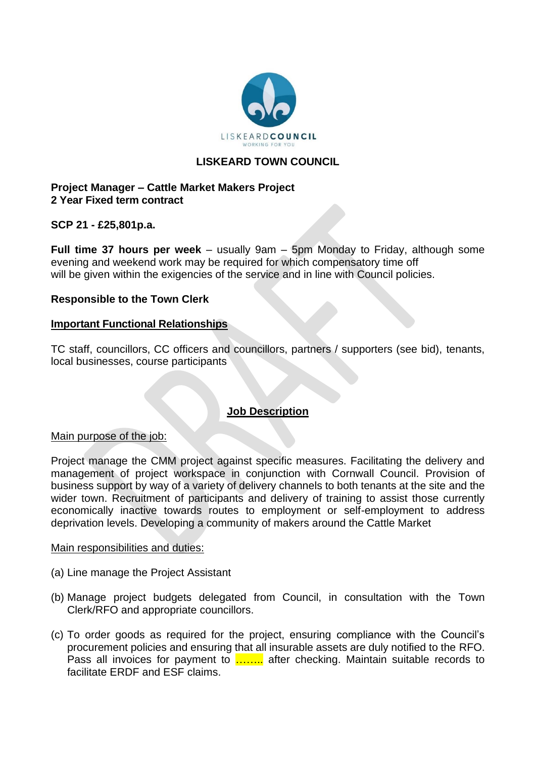

# **LISKEARD TOWN COUNCIL**

## **Project Manager – Cattle Market Makers Project 2 Year Fixed term contract**

## **SCP 21 - £25,801p.a.**

**Full time 37 hours per week** – usually 9am – 5pm Monday to Friday, although some evening and weekend work may be required for which compensatory time off will be given within the exigencies of the service and in line with Council policies.

# **Responsible to the Town Clerk**

### **Important Functional Relationships**

TC staff, councillors, CC officers and councillors, partners / supporters (see bid), tenants, local businesses, course participants

## **Job Description**

### Main purpose of the job:

Project manage the CMM project against specific measures. Facilitating the delivery and management of project workspace in conjunction with Cornwall Council. Provision of business support by way of a variety of delivery channels to both tenants at the site and the wider town. Recruitment of participants and delivery of training to assist those currently economically inactive towards routes to employment or self-employment to address deprivation levels. Developing a community of makers around the Cattle Market

### Main responsibilities and duties:

- (a) Line manage the Project Assistant
- (b) Manage project budgets delegated from Council, in consultation with the Town Clerk/RFO and appropriate councillors.
- (c) To order goods as required for the project, ensuring compliance with the Council's procurement policies and ensuring that all insurable assets are duly notified to the RFO. Pass all invoices for payment to **........** after checking. Maintain suitable records to facilitate ERDF and ESF claims.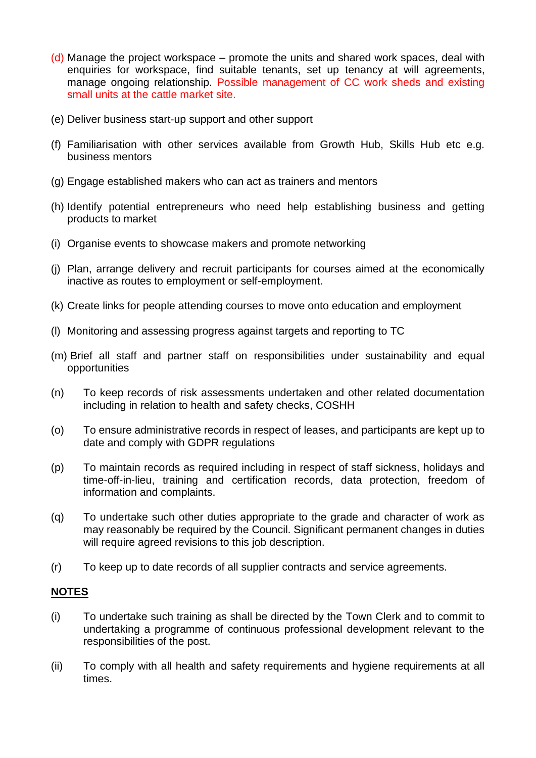- (d) Manage the project workspace promote the units and shared work spaces, deal with enquiries for workspace, find suitable tenants, set up tenancy at will agreements, manage ongoing relationship. Possible management of CC work sheds and existing small units at the cattle market site.
- (e) Deliver business start-up support and other support
- (f) Familiarisation with other services available from Growth Hub, Skills Hub etc e.g. business mentors
- (g) Engage established makers who can act as trainers and mentors
- (h) Identify potential entrepreneurs who need help establishing business and getting products to market
- (i) Organise events to showcase makers and promote networking
- (j) Plan, arrange delivery and recruit participants for courses aimed at the economically inactive as routes to employment or self-employment.
- (k) Create links for people attending courses to move onto education and employment
- (l) Monitoring and assessing progress against targets and reporting to TC
- (m) Brief all staff and partner staff on responsibilities under sustainability and equal opportunities
- (n) To keep records of risk assessments undertaken and other related documentation including in relation to health and safety checks, COSHH
- (o) To ensure administrative records in respect of leases, and participants are kept up to date and comply with GDPR regulations
- (p) To maintain records as required including in respect of staff sickness, holidays and time-off-in-lieu, training and certification records, data protection, freedom of information and complaints.
- (q) To undertake such other duties appropriate to the grade and character of work as may reasonably be required by the Council. Significant permanent changes in duties will require agreed revisions to this job description.
- (r) To keep up to date records of all supplier contracts and service agreements.

## **NOTES**

- (i) To undertake such training as shall be directed by the Town Clerk and to commit to undertaking a programme of continuous professional development relevant to the responsibilities of the post.
- (ii) To comply with all health and safety requirements and hygiene requirements at all times.